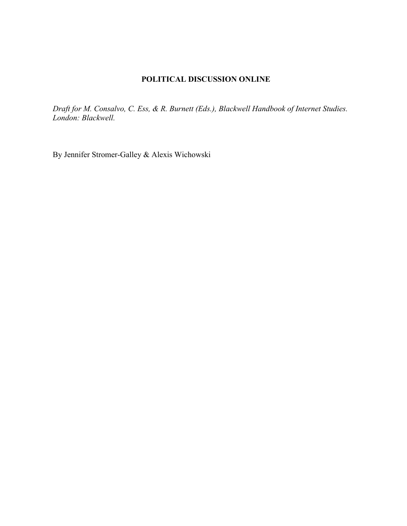# **POLITICAL DISCUSSION ONLINE**

*Draft for M. Consalvo, C. Ess, & R. Burnett (Eds.), Blackwell Handbook of Internet Studies. London: Blackwell.* 

By Jennifer Stromer-Galley & Alexis Wichowski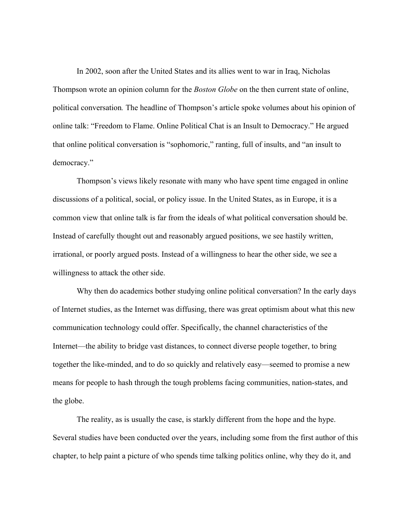In 2002, soon after the United States and its allies went to war in Iraq, Nicholas Thompson wrote an opinion column for the *Boston Globe* on the then current state of online, political conversation*.* The headline of Thompson's article spoke volumes about his opinion of online talk: "Freedom to Flame. Online Political Chat is an Insult to Democracy." He argued that online political conversation is "sophomoric," ranting, full of insults, and "an insult to democracy."

Thompson's views likely resonate with many who have spent time engaged in online discussions of a political, social, or policy issue. In the United States, as in Europe, it is a common view that online talk is far from the ideals of what political conversation should be. Instead of carefully thought out and reasonably argued positions, we see hastily written, irrational, or poorly argued posts. Instead of a willingness to hear the other side, we see a willingness to attack the other side.

Why then do academics bother studying online political conversation? In the early days of Internet studies, as the Internet was diffusing, there was great optimism about what this new communication technology could offer. Specifically, the channel characteristics of the Internet—the ability to bridge vast distances, to connect diverse people together, to bring together the like-minded, and to do so quickly and relatively easy—seemed to promise a new means for people to hash through the tough problems facing communities, nation-states, and the globe.

The reality, as is usually the case, is starkly different from the hope and the hype. Several studies have been conducted over the years, including some from the first author of this chapter, to help paint a picture of who spends time talking politics online, why they do it, and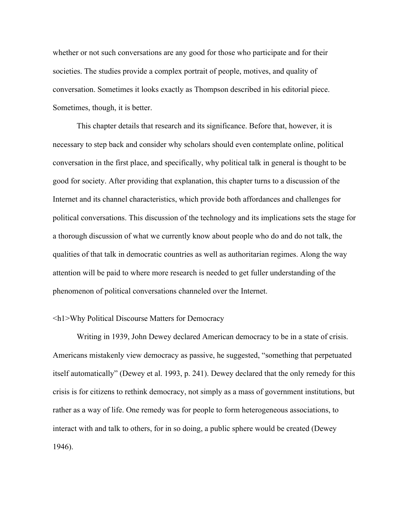whether or not such conversations are any good for those who participate and for their societies. The studies provide a complex portrait of people, motives, and quality of conversation. Sometimes it looks exactly as Thompson described in his editorial piece. Sometimes, though, it is better.

This chapter details that research and its significance. Before that, however, it is necessary to step back and consider why scholars should even contemplate online, political conversation in the first place, and specifically, why political talk in general is thought to be good for society. After providing that explanation, this chapter turns to a discussion of the Internet and its channel characteristics, which provide both affordances and challenges for political conversations. This discussion of the technology and its implications sets the stage for a thorough discussion of what we currently know about people who do and do not talk, the qualities of that talk in democratic countries as well as authoritarian regimes. Along the way attention will be paid to where more research is needed to get fuller understanding of the phenomenon of political conversations channeled over the Internet.

### <h1>Why Political Discourse Matters for Democracy

Writing in 1939, John Dewey declared American democracy to be in a state of crisis. Americans mistakenly view democracy as passive, he suggested, "something that perpetuated itself automatically" (Dewey et al. 1993, p. 241). Dewey declared that the only remedy for this crisis is for citizens to rethink democracy, not simply as a mass of government institutions, but rather as a way of life. One remedy was for people to form heterogeneous associations, to interact with and talk to others, for in so doing, a public sphere would be created (Dewey 1946).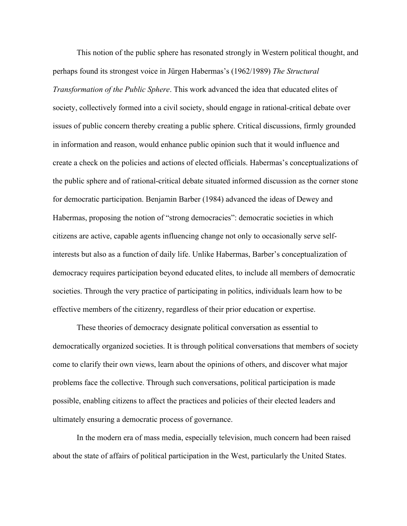This notion of the public sphere has resonated strongly in Western political thought, and perhaps found its strongest voice in Jürgen Habermas's (1962/1989) *The Structural Transformation of the Public Sphere*. This work advanced the idea that educated elites of society, collectively formed into a civil society, should engage in rational-critical debate over issues of public concern thereby creating a public sphere. Critical discussions, firmly grounded in information and reason, would enhance public opinion such that it would influence and create a check on the policies and actions of elected officials. Habermas's conceptualizations of the public sphere and of rational-critical debate situated informed discussion as the corner stone for democratic participation. Benjamin Barber (1984) advanced the ideas of Dewey and Habermas, proposing the notion of "strong democracies": democratic societies in which citizens are active, capable agents influencing change not only to occasionally serve selfinterests but also as a function of daily life. Unlike Habermas, Barber's conceptualization of democracy requires participation beyond educated elites, to include all members of democratic societies. Through the very practice of participating in politics, individuals learn how to be effective members of the citizenry, regardless of their prior education or expertise.

These theories of democracy designate political conversation as essential to democratically organized societies. It is through political conversations that members of society come to clarify their own views, learn about the opinions of others, and discover what major problems face the collective. Through such conversations, political participation is made possible, enabling citizens to affect the practices and policies of their elected leaders and ultimately ensuring a democratic process of governance.

In the modern era of mass media, especially television, much concern had been raised about the state of affairs of political participation in the West, particularly the United States.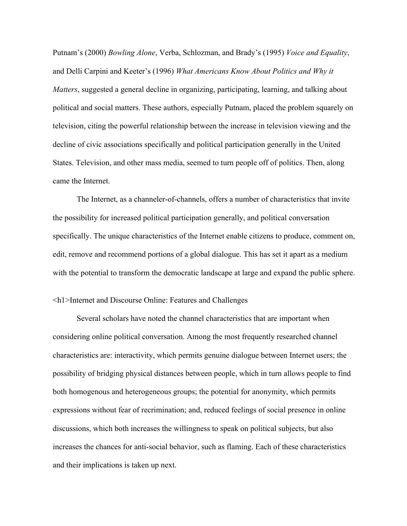Putnam's (2000) *Bowling Alone*, Verba, Schlozman, and Brady's (1995) *Voice and Equality*, and Delli Carpini and Keeter's (1996) *What Americans Know About Politics and Why it Matters*, suggested a general decline in organizing, participating, learning, and talking about political and social matters. These authors, especially Putnam, placed the problem squarely on television, citing the powerful relationship between the increase in television viewing and the decline of civic associations specifically and political participation generally in the United States. Television, and other mass media, seemed to turn people off of politics. Then, along came the Internet.

The Internet, as a channeler-of-channels, offers a number of characteristics that invite the possibility for increased political participation generally, and political conversation specifically. The unique characteristics of the Internet enable citizens to produce, comment on, edit, remove and recommend portions of a global dialogue. This has set it apart as a medium with the potential to transform the democratic landscape at large and expand the public sphere.

## <h1>Internet and Discourse Online: Features and Challenges

Several scholars have noted the channel characteristics that are important when considering online political conversation. Among the most frequently researched channel characteristics are: interactivity, which permits genuine dialogue between Internet users; the possibility of bridging physical distances between people, which in turn allows people to find both homogenous and heterogeneous groups; the potential for anonymity, which permits expressions without fear of recrimination; and, reduced feelings of social presence in online discussions, which both increases the willingness to speak on political subjects, but also increases the chances for anti-social behavior, such as flaming. Each of these characteristics and their implications is taken up next.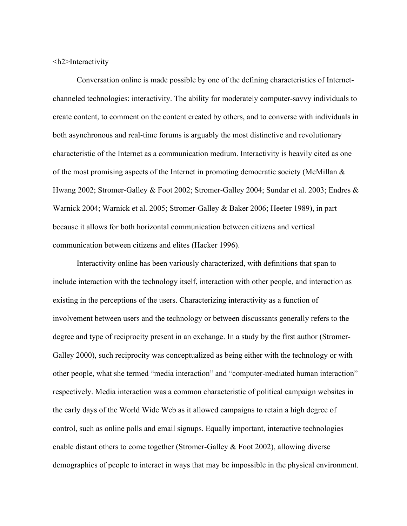### <h2>Interactivity

Conversation online is made possible by one of the defining characteristics of Internetchanneled technologies: interactivity. The ability for moderately computer-savvy individuals to create content, to comment on the content created by others, and to converse with individuals in both asynchronous and real-time forums is arguably the most distinctive and revolutionary characteristic of the Internet as a communication medium. Interactivity is heavily cited as one of the most promising aspects of the Internet in promoting democratic society (McMillan & Hwang 2002; Stromer-Galley & Foot 2002; Stromer-Galley 2004; Sundar et al. 2003; Endres & Warnick 2004; Warnick et al. 2005; Stromer-Galley & Baker 2006; Heeter 1989), in part because it allows for both horizontal communication between citizens and vertical communication between citizens and elites (Hacker 1996).

Interactivity online has been variously characterized, with definitions that span to include interaction with the technology itself, interaction with other people, and interaction as existing in the perceptions of the users. Characterizing interactivity as a function of involvement between users and the technology or between discussants generally refers to the degree and type of reciprocity present in an exchange. In a study by the first author (Stromer-Galley 2000), such reciprocity was conceptualized as being either with the technology or with other people, what she termed "media interaction" and "computer-mediated human interaction" respectively. Media interaction was a common characteristic of political campaign websites in the early days of the World Wide Web as it allowed campaigns to retain a high degree of control, such as online polls and email signups. Equally important, interactive technologies enable distant others to come together (Stromer-Galley & Foot 2002), allowing diverse demographics of people to interact in ways that may be impossible in the physical environment.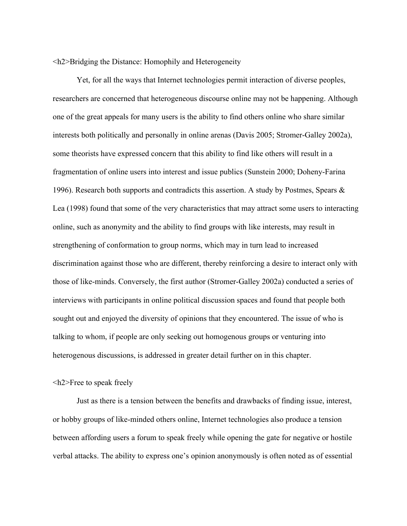### <h2>Bridging the Distance: Homophily and Heterogeneity

Yet, for all the ways that Internet technologies permit interaction of diverse peoples, researchers are concerned that heterogeneous discourse online may not be happening. Although one of the great appeals for many users is the ability to find others online who share similar interests both politically and personally in online arenas (Davis 2005; Stromer-Galley 2002a), some theorists have expressed concern that this ability to find like others will result in a fragmentation of online users into interest and issue publics (Sunstein 2000; Doheny-Farina 1996). Research both supports and contradicts this assertion. A study by Postmes, Spears & Lea (1998) found that some of the very characteristics that may attract some users to interacting online, such as anonymity and the ability to find groups with like interests, may result in strengthening of conformation to group norms, which may in turn lead to increased discrimination against those who are different, thereby reinforcing a desire to interact only with those of like-minds. Conversely, the first author (Stromer-Galley 2002a) conducted a series of interviews with participants in online political discussion spaces and found that people both sought out and enjoyed the diversity of opinions that they encountered. The issue of who is talking to whom, if people are only seeking out homogenous groups or venturing into heterogenous discussions, is addressed in greater detail further on in this chapter.

### <h2>Free to speak freely

Just as there is a tension between the benefits and drawbacks of finding issue, interest, or hobby groups of like-minded others online, Internet technologies also produce a tension between affording users a forum to speak freely while opening the gate for negative or hostile verbal attacks. The ability to express one's opinion anonymously is often noted as of essential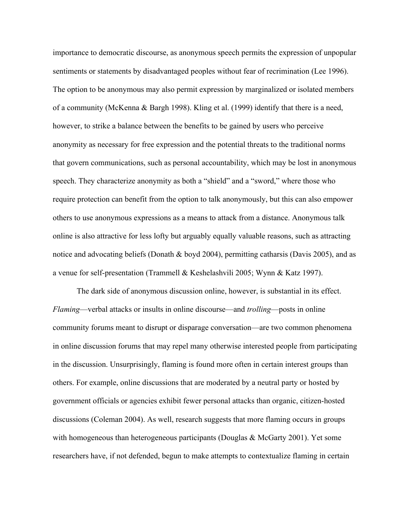importance to democratic discourse, as anonymous speech permits the expression of unpopular sentiments or statements by disadvantaged peoples without fear of recrimination (Lee 1996). The option to be anonymous may also permit expression by marginalized or isolated members of a community (McKenna & Bargh 1998). Kling et al. (1999) identify that there is a need, however, to strike a balance between the benefits to be gained by users who perceive anonymity as necessary for free expression and the potential threats to the traditional norms that govern communications, such as personal accountability, which may be lost in anonymous speech. They characterize anonymity as both a "shield" and a "sword," where those who require protection can benefit from the option to talk anonymously, but this can also empower others to use anonymous expressions as a means to attack from a distance. Anonymous talk online is also attractive for less lofty but arguably equally valuable reasons, such as attracting notice and advocating beliefs (Donath & boyd 2004), permitting catharsis (Davis 2005), and as a venue for self-presentation (Trammell & Keshelashvili 2005; Wynn & Katz 1997).

The dark side of anonymous discussion online, however, is substantial in its effect. *Flaming*—verbal attacks or insults in online discourse—and *trolling*—posts in online community forums meant to disrupt or disparage conversation—are two common phenomena in online discussion forums that may repel many otherwise interested people from participating in the discussion. Unsurprisingly, flaming is found more often in certain interest groups than others. For example, online discussions that are moderated by a neutral party or hosted by government officials or agencies exhibit fewer personal attacks than organic, citizen-hosted discussions (Coleman 2004). As well, research suggests that more flaming occurs in groups with homogeneous than heterogeneous participants (Douglas & McGarty 2001). Yet some researchers have, if not defended, begun to make attempts to contextualize flaming in certain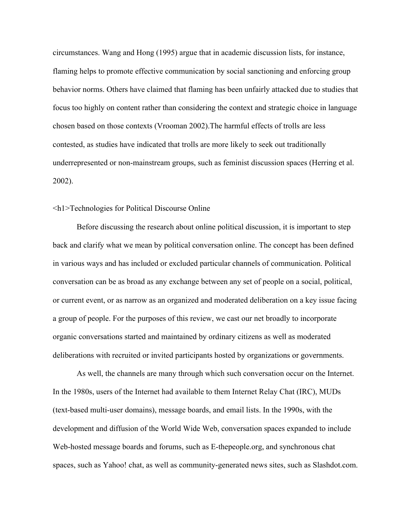circumstances. Wang and Hong (1995) argue that in academic discussion lists, for instance, flaming helps to promote effective communication by social sanctioning and enforcing group behavior norms. Others have claimed that flaming has been unfairly attacked due to studies that focus too highly on content rather than considering the context and strategic choice in language chosen based on those contexts (Vrooman 2002).The harmful effects of trolls are less contested, as studies have indicated that trolls are more likely to seek out traditionally underrepresented or non-mainstream groups, such as feminist discussion spaces (Herring et al. 2002).

## <h1>Technologies for Political Discourse Online

Before discussing the research about online political discussion, it is important to step back and clarify what we mean by political conversation online. The concept has been defined in various ways and has included or excluded particular channels of communication. Political conversation can be as broad as any exchange between any set of people on a social, political, or current event, or as narrow as an organized and moderated deliberation on a key issue facing a group of people. For the purposes of this review, we cast our net broadly to incorporate organic conversations started and maintained by ordinary citizens as well as moderated deliberations with recruited or invited participants hosted by organizations or governments.

As well, the channels are many through which such conversation occur on the Internet. In the 1980s, users of the Internet had available to them Internet Relay Chat (IRC), MUDs (text-based multi-user domains), message boards, and email lists. In the 1990s, with the development and diffusion of the World Wide Web, conversation spaces expanded to include Web-hosted message boards and forums, such as E-thepeople.org, and synchronous chat spaces, such as Yahoo! chat, as well as community-generated news sites, such as Slashdot.com.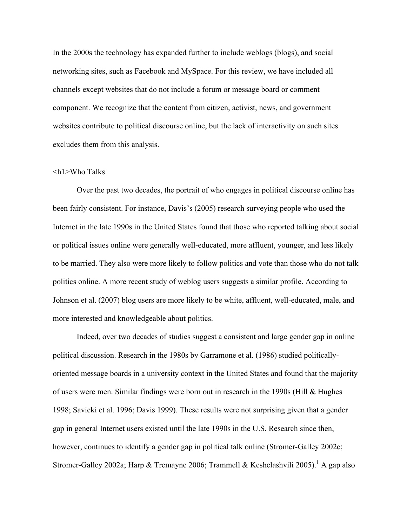In the 2000s the technology has expanded further to include weblogs (blogs), and social networking sites, such as Facebook and MySpace. For this review, we have included all channels except websites that do not include a forum or message board or comment component. We recognize that the content from citizen, activist, news, and government websites contribute to political discourse online, but the lack of interactivity on such sites excludes them from this analysis.

## <h1>Who Talks

Over the past two decades, the portrait of who engages in political discourse online has been fairly consistent. For instance, Davis's (2005) research surveying people who used the Internet in the late 1990s in the United States found that those who reported talking about social or political issues online were generally well-educated, more affluent, younger, and less likely to be married. They also were more likely to follow politics and vote than those who do not talk politics online. A more recent study of weblog users suggests a similar profile. According to Johnson et al. (2007) blog users are more likely to be white, affluent, well-educated, male, and more interested and knowledgeable about politics.

Indeed, over two decades of studies suggest a consistent and large gender gap in online political discussion. Research in the 1980s by Garramone et al. (1986) studied politicallyoriented message boards in a university context in the United States and found that the majority of users were men. Similar findings were born out in research in the 1990s (Hill & Hughes 1998; Savicki et al. 1996; Davis 1999). These results were not surprising given that a gender gap in general Internet users existed until the late 1990s in the U.S. Research since then, however, continues to identify a gender gap in political talk online (Stromer-Galley 2002c; Stromer-Galley 2002a; Harp & Tremayne 2006; Trammell & Keshelashvili 2005).<sup>1</sup> A gap also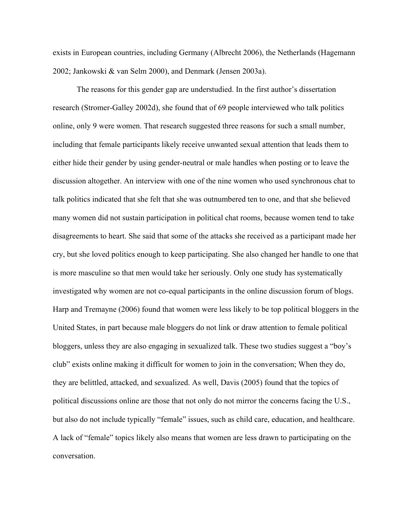exists in European countries, including Germany (Albrecht 2006), the Netherlands (Hagemann 2002; Jankowski & van Selm 2000), and Denmark (Jensen 2003a).

The reasons for this gender gap are understudied. In the first author's dissertation research (Stromer-Galley 2002d), she found that of 69 people interviewed who talk politics online, only 9 were women. That research suggested three reasons for such a small number, including that female participants likely receive unwanted sexual attention that leads them to either hide their gender by using gender-neutral or male handles when posting or to leave the discussion altogether. An interview with one of the nine women who used synchronous chat to talk politics indicated that she felt that she was outnumbered ten to one, and that she believed many women did not sustain participation in political chat rooms, because women tend to take disagreements to heart. She said that some of the attacks she received as a participant made her cry, but she loved politics enough to keep participating. She also changed her handle to one that is more masculine so that men would take her seriously. Only one study has systematically investigated why women are not co-equal participants in the online discussion forum of blogs. Harp and Tremayne (2006) found that women were less likely to be top political bloggers in the United States, in part because male bloggers do not link or draw attention to female political bloggers, unless they are also engaging in sexualized talk. These two studies suggest a "boy's club" exists online making it difficult for women to join in the conversation; When they do, they are belittled, attacked, and sexualized. As well, Davis (2005) found that the topics of political discussions online are those that not only do not mirror the concerns facing the U.S., but also do not include typically "female" issues, such as child care, education, and healthcare. A lack of "female" topics likely also means that women are less drawn to participating on the conversation.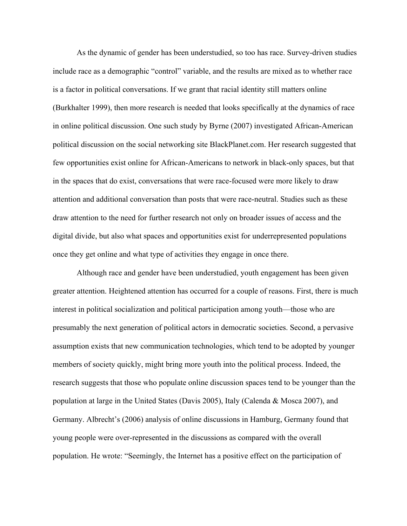As the dynamic of gender has been understudied, so too has race. Survey-driven studies include race as a demographic "control" variable, and the results are mixed as to whether race is a factor in political conversations. If we grant that racial identity still matters online (Burkhalter 1999), then more research is needed that looks specifically at the dynamics of race in online political discussion. One such study by Byrne (2007) investigated African-American political discussion on the social networking site BlackPlanet.com. Her research suggested that few opportunities exist online for African-Americans to network in black-only spaces, but that in the spaces that do exist, conversations that were race-focused were more likely to draw attention and additional conversation than posts that were race-neutral. Studies such as these draw attention to the need for further research not only on broader issues of access and the digital divide, but also what spaces and opportunities exist for underrepresented populations once they get online and what type of activities they engage in once there.

Although race and gender have been understudied, youth engagement has been given greater attention. Heightened attention has occurred for a couple of reasons. First, there is much interest in political socialization and political participation among youth—those who are presumably the next generation of political actors in democratic societies. Second, a pervasive assumption exists that new communication technologies, which tend to be adopted by younger members of society quickly, might bring more youth into the political process. Indeed, the research suggests that those who populate online discussion spaces tend to be younger than the population at large in the United States (Davis 2005), Italy (Calenda & Mosca 2007), and Germany. Albrecht's (2006) analysis of online discussions in Hamburg, Germany found that young people were over-represented in the discussions as compared with the overall population. He wrote: "Seemingly, the Internet has a positive effect on the participation of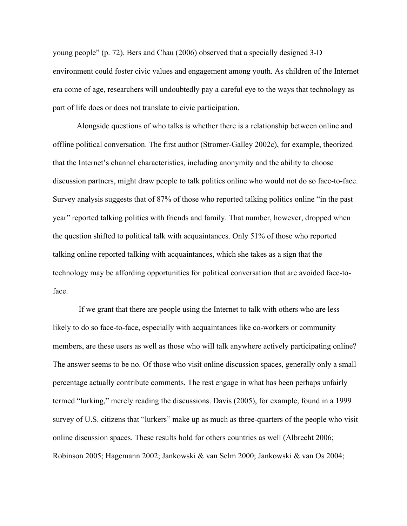young people" (p. 72). Bers and Chau (2006) observed that a specially designed 3-D environment could foster civic values and engagement among youth. As children of the Internet era come of age, researchers will undoubtedly pay a careful eye to the ways that technology as part of life does or does not translate to civic participation.

Alongside questions of who talks is whether there is a relationship between online and offline political conversation. The first author (Stromer-Galley 2002c), for example, theorized that the Internet's channel characteristics, including anonymity and the ability to choose discussion partners, might draw people to talk politics online who would not do so face-to-face. Survey analysis suggests that of 87% of those who reported talking politics online "in the past year" reported talking politics with friends and family. That number, however, dropped when the question shifted to political talk with acquaintances. Only 51% of those who reported talking online reported talking with acquaintances, which she takes as a sign that the technology may be affording opportunities for political conversation that are avoided face-toface.

If we grant that there are people using the Internet to talk with others who are less likely to do so face-to-face, especially with acquaintances like co-workers or community members, are these users as well as those who will talk anywhere actively participating online? The answer seems to be no. Of those who visit online discussion spaces, generally only a small percentage actually contribute comments. The rest engage in what has been perhaps unfairly termed "lurking," merely reading the discussions. Davis (2005), for example, found in a 1999 survey of U.S. citizens that "lurkers" make up as much as three-quarters of the people who visit online discussion spaces. These results hold for others countries as well (Albrecht 2006; Robinson 2005; Hagemann 2002; Jankowski & van Selm 2000; Jankowski & van Os 2004;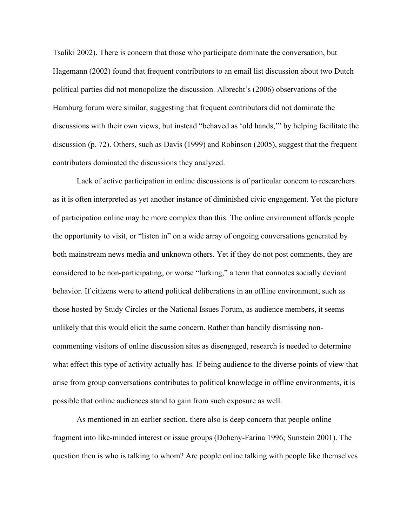Tsaliki 2002). There is concern that those who participate dominate the conversation, but Hagemann (2002) found that frequent contributors to an email list discussion about two Dutch political parties did not monopolize the discussion. Albrecht's (2006) observations of the Hamburg forum were similar, suggesting that frequent contributors did not dominate the discussions with their own views, but instead "behaved as 'old hands,'" by helping facilitate the discussion (p. 72). Others, such as Davis (1999) and Robinson (2005), suggest that the frequent contributors dominated the discussions they analyzed.

Lack of active participation in online discussions is of particular concern to researchers as it is often interpreted as yet another instance of diminished civic engagement. Yet the picture of participation online may be more complex than this. The online environment affords people the opportunity to visit, or "listen in" on a wide array of ongoing conversations generated by both mainstream news media and unknown others. Yet if they do not post comments, they are considered to be non-participating, or worse "lurking," a term that connotes socially deviant behavior. If citizens were to attend political deliberations in an offline environment, such as those hosted by Study Circles or the National Issues Forum, as audience members, it seems unlikely that this would elicit the same concern. Rather than handily dismissing noncommenting visitors of online discussion sites as disengaged, research is needed to determine what effect this type of activity actually has. If being audience to the diverse points of view that arise from group conversations contributes to political knowledge in offline environments, it is possible that online audiences stand to gain from such exposure as well.

As mentioned in an earlier section, there also is deep concern that people online fragment into like-minded interest or issue groups (Doheny-Farina 1996; Sunstein 2001). The question then is who is talking to whom? Are people online talking with people like themselves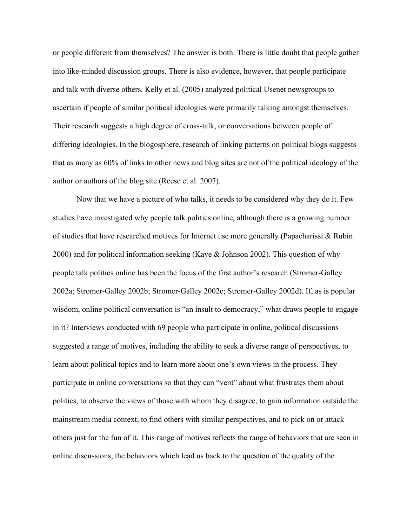or people different from themselves? The answer is both. There is little doubt that people gather into like-minded discussion groups. There is also evidence, however, that people participate and talk with diverse others. Kelly et al. (2005) analyzed political Usenet newsgroups to ascertain if people of similar political ideologies were primarily talking amongst themselves. Their research suggests a high degree of cross-talk, or conversations between people of differing ideologies. In the blogosphere, research of linking patterns on political blogs suggests that as many as 60% of links to other news and blog sites are not of the political ideology of the author or authors of the blog site (Reese et al. 2007).

Now that we have a picture of who talks, it needs to be considered why they do it. Few studies have investigated why people talk politics online, although there is a growing number of studies that have researched motives for Internet use more generally (Papacharissi & Rubin 2000) and for political information seeking (Kaye & Johnson 2002). This question of why people talk politics online has been the focus of the first author's research (Stromer-Galley 2002a; Stromer-Galley 2002b; Stromer-Galley 2002c; Stromer-Galley 2002d). If, as is popular wisdom, online political conversation is "an insult to democracy," what draws people to engage in it? Interviews conducted with 69 people who participate in online, political discussions suggested a range of motives, including the ability to seek a diverse range of perspectives, to learn about political topics and to learn more about one's own views in the process. They participate in online conversations so that they can "vent" about what frustrates them about politics, to observe the views of those with whom they disagree, to gain information outside the mainstream media context, to find others with similar perspectives, and to pick on or attack others just for the fun of it. This range of motives reflects the range of behaviors that are seen in online discussions, the behaviors which lead us back to the question of the quality of the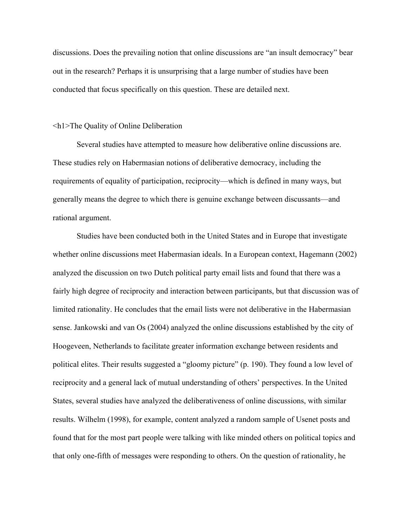discussions. Does the prevailing notion that online discussions are "an insult democracy" bear out in the research? Perhaps it is unsurprising that a large number of studies have been conducted that focus specifically on this question. These are detailed next.

### <h1>The Quality of Online Deliberation

Several studies have attempted to measure how deliberative online discussions are. These studies rely on Habermasian notions of deliberative democracy, including the requirements of equality of participation, reciprocity—which is defined in many ways, but generally means the degree to which there is genuine exchange between discussants—and rational argument.

Studies have been conducted both in the United States and in Europe that investigate whether online discussions meet Habermasian ideals. In a European context, Hagemann (2002) analyzed the discussion on two Dutch political party email lists and found that there was a fairly high degree of reciprocity and interaction between participants, but that discussion was of limited rationality. He concludes that the email lists were not deliberative in the Habermasian sense. Jankowski and van Os (2004) analyzed the online discussions established by the city of Hoogeveen, Netherlands to facilitate greater information exchange between residents and political elites. Their results suggested a "gloomy picture" (p. 190). They found a low level of reciprocity and a general lack of mutual understanding of others' perspectives. In the United States, several studies have analyzed the deliberativeness of online discussions, with similar results. Wilhelm (1998), for example, content analyzed a random sample of Usenet posts and found that for the most part people were talking with like minded others on political topics and that only one-fifth of messages were responding to others. On the question of rationality, he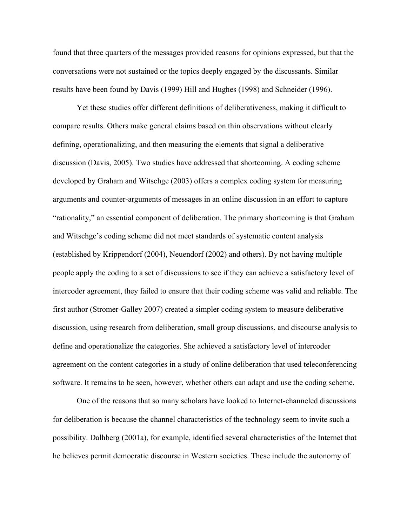found that three quarters of the messages provided reasons for opinions expressed, but that the conversations were not sustained or the topics deeply engaged by the discussants. Similar results have been found by Davis (1999) Hill and Hughes (1998) and Schneider (1996).

Yet these studies offer different definitions of deliberativeness, making it difficult to compare results. Others make general claims based on thin observations without clearly defining, operationalizing, and then measuring the elements that signal a deliberative discussion (Davis, 2005). Two studies have addressed that shortcoming. A coding scheme developed by Graham and Witschge (2003) offers a complex coding system for measuring arguments and counter-arguments of messages in an online discussion in an effort to capture "rationality," an essential component of deliberation. The primary shortcoming is that Graham and Witschge's coding scheme did not meet standards of systematic content analysis (established by Krippendorf (2004), Neuendorf (2002) and others). By not having multiple people apply the coding to a set of discussions to see if they can achieve a satisfactory level of intercoder agreement, they failed to ensure that their coding scheme was valid and reliable. The first author (Stromer-Galley 2007) created a simpler coding system to measure deliberative discussion, using research from deliberation, small group discussions, and discourse analysis to define and operationalize the categories. She achieved a satisfactory level of intercoder agreement on the content categories in a study of online deliberation that used teleconferencing software. It remains to be seen, however, whether others can adapt and use the coding scheme.

One of the reasons that so many scholars have looked to Internet-channeled discussions for deliberation is because the channel characteristics of the technology seem to invite such a possibility. Dalhberg (2001a), for example, identified several characteristics of the Internet that he believes permit democratic discourse in Western societies. These include the autonomy of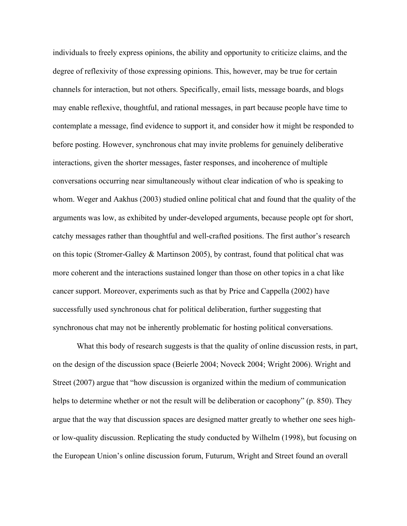individuals to freely express opinions, the ability and opportunity to criticize claims, and the degree of reflexivity of those expressing opinions. This, however, may be true for certain channels for interaction, but not others. Specifically, email lists, message boards, and blogs may enable reflexive, thoughtful, and rational messages, in part because people have time to contemplate a message, find evidence to support it, and consider how it might be responded to before posting. However, synchronous chat may invite problems for genuinely deliberative interactions, given the shorter messages, faster responses, and incoherence of multiple conversations occurring near simultaneously without clear indication of who is speaking to whom. Weger and Aakhus (2003) studied online political chat and found that the quality of the arguments was low, as exhibited by under-developed arguments, because people opt for short, catchy messages rather than thoughtful and well-crafted positions. The first author's research on this topic (Stromer-Galley  $&$  Martinson 2005), by contrast, found that political chat was more coherent and the interactions sustained longer than those on other topics in a chat like cancer support. Moreover, experiments such as that by Price and Cappella (2002) have successfully used synchronous chat for political deliberation, further suggesting that synchronous chat may not be inherently problematic for hosting political conversations.

What this body of research suggests is that the quality of online discussion rests, in part, on the design of the discussion space (Beierle 2004; Noveck 2004; Wright 2006). Wright and Street (2007) argue that "how discussion is organized within the medium of communication helps to determine whether or not the result will be deliberation or cacophony" (p. 850). They argue that the way that discussion spaces are designed matter greatly to whether one sees highor low-quality discussion. Replicating the study conducted by Wilhelm (1998), but focusing on the European Union's online discussion forum, Futurum, Wright and Street found an overall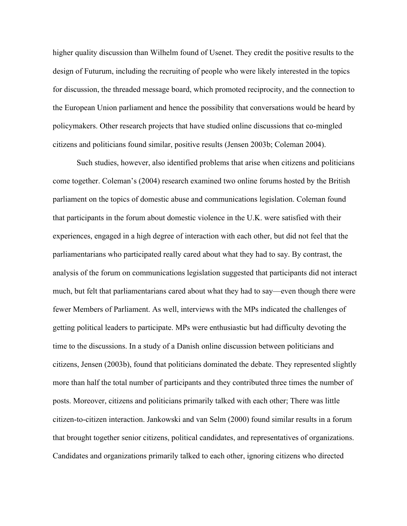higher quality discussion than Wilhelm found of Usenet. They credit the positive results to the design of Futurum, including the recruiting of people who were likely interested in the topics for discussion, the threaded message board, which promoted reciprocity, and the connection to the European Union parliament and hence the possibility that conversations would be heard by policymakers. Other research projects that have studied online discussions that co-mingled citizens and politicians found similar, positive results (Jensen 2003b; Coleman 2004).

Such studies, however, also identified problems that arise when citizens and politicians come together. Coleman's (2004) research examined two online forums hosted by the British parliament on the topics of domestic abuse and communications legislation. Coleman found that participants in the forum about domestic violence in the U.K. were satisfied with their experiences, engaged in a high degree of interaction with each other, but did not feel that the parliamentarians who participated really cared about what they had to say. By contrast, the analysis of the forum on communications legislation suggested that participants did not interact much, but felt that parliamentarians cared about what they had to say—even though there were fewer Members of Parliament. As well, interviews with the MPs indicated the challenges of getting political leaders to participate. MPs were enthusiastic but had difficulty devoting the time to the discussions. In a study of a Danish online discussion between politicians and citizens, Jensen (2003b), found that politicians dominated the debate. They represented slightly more than half the total number of participants and they contributed three times the number of posts. Moreover, citizens and politicians primarily talked with each other; There was little citizen-to-citizen interaction. Jankowski and van Selm (2000) found similar results in a forum that brought together senior citizens, political candidates, and representatives of organizations. Candidates and organizations primarily talked to each other, ignoring citizens who directed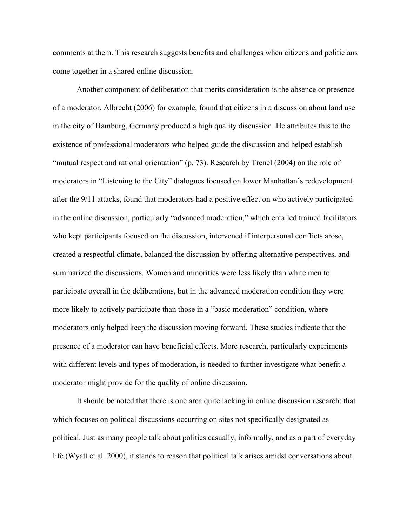comments at them. This research suggests benefits and challenges when citizens and politicians come together in a shared online discussion.

Another component of deliberation that merits consideration is the absence or presence of a moderator. Albrecht (2006) for example, found that citizens in a discussion about land use in the city of Hamburg, Germany produced a high quality discussion. He attributes this to the existence of professional moderators who helped guide the discussion and helped establish "mutual respect and rational orientation" (p. 73). Research by Trenel (2004) on the role of moderators in "Listening to the City" dialogues focused on lower Manhattan's redevelopment after the 9/11 attacks, found that moderators had a positive effect on who actively participated in the online discussion, particularly "advanced moderation," which entailed trained facilitators who kept participants focused on the discussion, intervened if interpersonal conflicts arose, created a respectful climate, balanced the discussion by offering alternative perspectives, and summarized the discussions. Women and minorities were less likely than white men to participate overall in the deliberations, but in the advanced moderation condition they were more likely to actively participate than those in a "basic moderation" condition, where moderators only helped keep the discussion moving forward. These studies indicate that the presence of a moderator can have beneficial effects. More research, particularly experiments with different levels and types of moderation, is needed to further investigate what benefit a moderator might provide for the quality of online discussion.

It should be noted that there is one area quite lacking in online discussion research: that which focuses on political discussions occurring on sites not specifically designated as political. Just as many people talk about politics casually, informally, and as a part of everyday life (Wyatt et al. 2000), it stands to reason that political talk arises amidst conversations about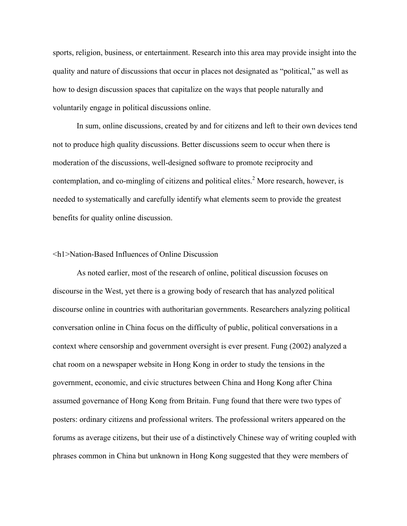sports, religion, business, or entertainment. Research into this area may provide insight into the quality and nature of discussions that occur in places not designated as "political," as well as how to design discussion spaces that capitalize on the ways that people naturally and voluntarily engage in political discussions online.

In sum, online discussions, created by and for citizens and left to their own devices tend not to produce high quality discussions. Better discussions seem to occur when there is moderation of the discussions, well-designed software to promote reciprocity and contemplation, and co-mingling of citizens and political elites.<sup>2</sup> More research, however, is needed to systematically and carefully identify what elements seem to provide the greatest benefits for quality online discussion.

#### <h1>Nation-Based Influences of Online Discussion

As noted earlier, most of the research of online, political discussion focuses on discourse in the West, yet there is a growing body of research that has analyzed political discourse online in countries with authoritarian governments. Researchers analyzing political conversation online in China focus on the difficulty of public, political conversations in a context where censorship and government oversight is ever present. Fung (2002) analyzed a chat room on a newspaper website in Hong Kong in order to study the tensions in the government, economic, and civic structures between China and Hong Kong after China assumed governance of Hong Kong from Britain. Fung found that there were two types of posters: ordinary citizens and professional writers. The professional writers appeared on the forums as average citizens, but their use of a distinctively Chinese way of writing coupled with phrases common in China but unknown in Hong Kong suggested that they were members of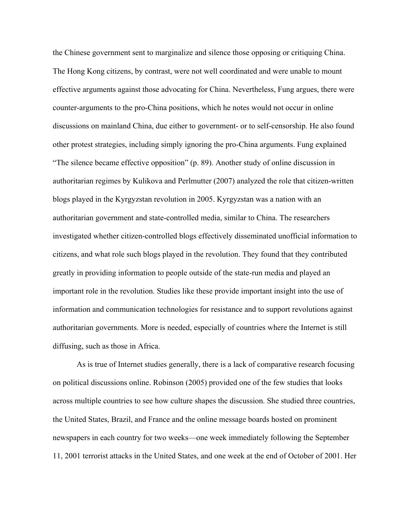the Chinese government sent to marginalize and silence those opposing or critiquing China. The Hong Kong citizens, by contrast, were not well coordinated and were unable to mount effective arguments against those advocating for China. Nevertheless, Fung argues, there were counter-arguments to the pro-China positions, which he notes would not occur in online discussions on mainland China, due either to government- or to self-censorship. He also found other protest strategies, including simply ignoring the pro-China arguments. Fung explained "The silence became effective opposition" (p. 89). Another study of online discussion in authoritarian regimes by Kulikova and Perlmutter (2007) analyzed the role that citizen-written blogs played in the Kyrgyzstan revolution in 2005. Kyrgyzstan was a nation with an authoritarian government and state-controlled media, similar to China. The researchers investigated whether citizen-controlled blogs effectively disseminated unofficial information to citizens, and what role such blogs played in the revolution. They found that they contributed greatly in providing information to people outside of the state-run media and played an important role in the revolution. Studies like these provide important insight into the use of information and communication technologies for resistance and to support revolutions against authoritarian governments. More is needed, especially of countries where the Internet is still diffusing, such as those in Africa.

As is true of Internet studies generally, there is a lack of comparative research focusing on political discussions online. Robinson (2005) provided one of the few studies that looks across multiple countries to see how culture shapes the discussion. She studied three countries, the United States, Brazil, and France and the online message boards hosted on prominent newspapers in each country for two weeks—one week immediately following the September 11, 2001 terrorist attacks in the United States, and one week at the end of October of 2001. Her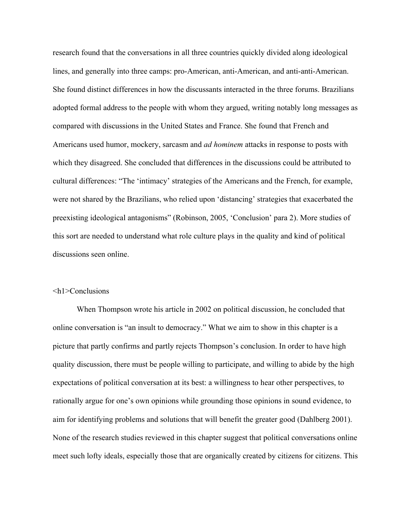research found that the conversations in all three countries quickly divided along ideological lines, and generally into three camps: pro-American, anti-American, and anti-anti-American. She found distinct differences in how the discussants interacted in the three forums. Brazilians adopted formal address to the people with whom they argued, writing notably long messages as compared with discussions in the United States and France. She found that French and Americans used humor, mockery, sarcasm and *ad hominem* attacks in response to posts with which they disagreed. She concluded that differences in the discussions could be attributed to cultural differences: "The 'intimacy' strategies of the Americans and the French, for example, were not shared by the Brazilians, who relied upon 'distancing' strategies that exacerbated the preexisting ideological antagonisms" (Robinson, 2005, 'Conclusion' para 2). More studies of this sort are needed to understand what role culture plays in the quality and kind of political discussions seen online.

### <h1>Conclusions

When Thompson wrote his article in 2002 on political discussion, he concluded that online conversation is "an insult to democracy." What we aim to show in this chapter is a picture that partly confirms and partly rejects Thompson's conclusion. In order to have high quality discussion, there must be people willing to participate, and willing to abide by the high expectations of political conversation at its best: a willingness to hear other perspectives, to rationally argue for one's own opinions while grounding those opinions in sound evidence, to aim for identifying problems and solutions that will benefit the greater good (Dahlberg 2001). None of the research studies reviewed in this chapter suggest that political conversations online meet such lofty ideals, especially those that are organically created by citizens for citizens. This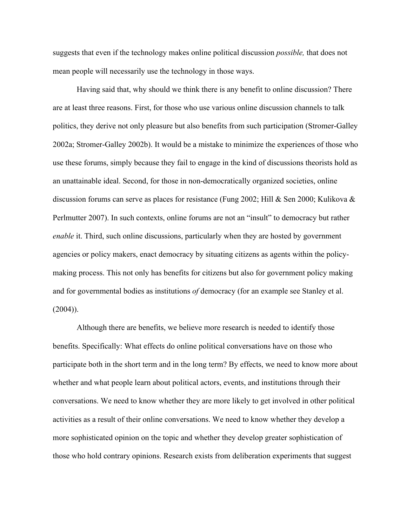suggests that even if the technology makes online political discussion *possible,* that does not mean people will necessarily use the technology in those ways.

Having said that, why should we think there is any benefit to online discussion? There are at least three reasons. First, for those who use various online discussion channels to talk politics, they derive not only pleasure but also benefits from such participation (Stromer-Galley 2002a; Stromer-Galley 2002b). It would be a mistake to minimize the experiences of those who use these forums, simply because they fail to engage in the kind of discussions theorists hold as an unattainable ideal. Second, for those in non-democratically organized societies, online discussion forums can serve as places for resistance (Fung 2002; Hill & Sen 2000; Kulikova & Perlmutter 2007). In such contexts, online forums are not an "insult" to democracy but rather *enable* it. Third, such online discussions, particularly when they are hosted by government agencies or policy makers, enact democracy by situating citizens as agents within the policymaking process. This not only has benefits for citizens but also for government policy making and for governmental bodies as institutions *of* democracy (for an example see Stanley et al.  $(2004)$ ).

Although there are benefits, we believe more research is needed to identify those benefits. Specifically: What effects do online political conversations have on those who participate both in the short term and in the long term? By effects, we need to know more about whether and what people learn about political actors, events, and institutions through their conversations. We need to know whether they are more likely to get involved in other political activities as a result of their online conversations. We need to know whether they develop a more sophisticated opinion on the topic and whether they develop greater sophistication of those who hold contrary opinions. Research exists from deliberation experiments that suggest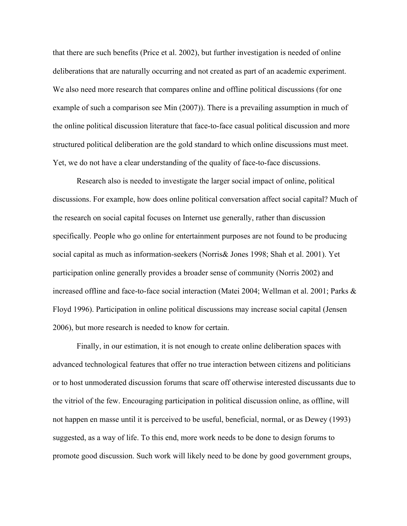that there are such benefits (Price et al. 2002), but further investigation is needed of online deliberations that are naturally occurring and not created as part of an academic experiment. We also need more research that compares online and offline political discussions (for one example of such a comparison see Min (2007)). There is a prevailing assumption in much of the online political discussion literature that face-to-face casual political discussion and more structured political deliberation are the gold standard to which online discussions must meet. Yet, we do not have a clear understanding of the quality of face-to-face discussions.

Research also is needed to investigate the larger social impact of online, political discussions. For example, how does online political conversation affect social capital? Much of the research on social capital focuses on Internet use generally, rather than discussion specifically. People who go online for entertainment purposes are not found to be producing social capital as much as information-seekers (Norris& Jones 1998; Shah et al. 2001). Yet participation online generally provides a broader sense of community (Norris 2002) and increased offline and face-to-face social interaction (Matei 2004; Wellman et al. 2001; Parks & Floyd 1996). Participation in online political discussions may increase social capital (Jensen 2006), but more research is needed to know for certain.

Finally, in our estimation, it is not enough to create online deliberation spaces with advanced technological features that offer no true interaction between citizens and politicians or to host unmoderated discussion forums that scare off otherwise interested discussants due to the vitriol of the few. Encouraging participation in political discussion online, as offline, will not happen en masse until it is perceived to be useful, beneficial, normal, or as Dewey (1993) suggested, as a way of life. To this end, more work needs to be done to design forums to promote good discussion. Such work will likely need to be done by good government groups,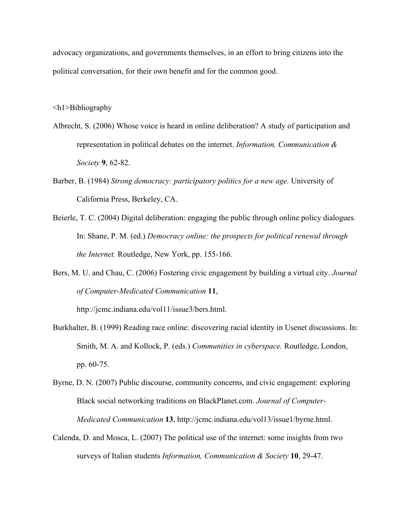advocacy organizations, and governments themselves, in an effort to bring citizens into the political conversation, for their own benefit and for the common good.

<h1>Bibliography

- Albrecht, S. (2006) Whose voice is heard in online deliberation? A study of participation and representation in political debates on the internet. *Information, Communication & Society* **9**, 62-82.
- Barber, B. (1984) *Strong democracy: participatory politics for a new age.* University of California Press, Berkeley, CA.
- Beierle, T. C. (2004) Digital deliberation: engaging the public through online policy dialogues. In: Shane, P. M. (ed.) *Democracy online: the prospects for political renewal through the Internet.* Routledge, New York, pp. 155-166.
- Bers, M. U. and Chau, C. (2006) Fostering civic engagement by building a virtual city. *Journal of Computer-Medicated Communication* **11**,

http://jcmc.indiana.edu/vol11/issue3/bers.html.

Burkhalter, B. (1999) Reading race online: discovering racial identity in Usenet discussions. In: Smith, M. A. and Kollock, P. (eds.) *Communities in cyberspace.* Routledge, London, pp. 60-75.

Byrne, D. N. (2007) Public discourse, community concerns, and civic engagement: exploring Black social networking traditions on BlackPlanet.com. *Journal of Computer-Medicated Communication* **13**, http://jcmc.indiana.edu/vol13/issue1/byrne.html.

Calenda, D. and Mosca, L. (2007) The political use of the internet: some insights from two surveys of Italian students *Information, Communication & Society* **10**, 29-47.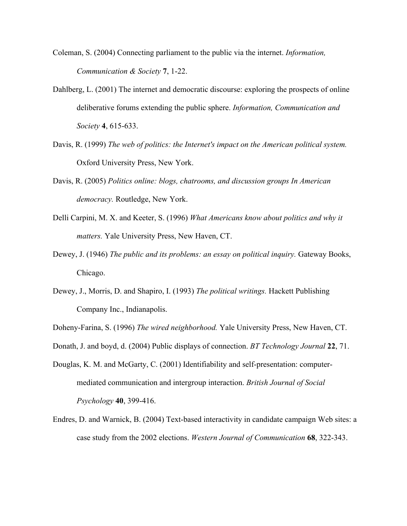- Coleman, S. (2004) Connecting parliament to the public via the internet. *Information, Communication & Society* **7**, 1-22.
- Dahlberg, L. (2001) The internet and democratic discourse: exploring the prospects of online deliberative forums extending the public sphere. *Information, Communication and Society* **4**, 615-633.
- Davis, R. (1999) *The web of politics: the Internet's impact on the American political system.*  Oxford University Press, New York.
- Davis, R. (2005) *Politics online: blogs, chatrooms, and discussion groups In American democracy.* Routledge, New York.
- Delli Carpini, M. X. and Keeter, S. (1996) *What Americans know about politics and why it matters.* Yale University Press, New Haven, CT.
- Dewey, J. (1946) *The public and its problems: an essay on political inquiry.* Gateway Books, Chicago.
- Dewey, J., Morris, D. and Shapiro, I. (1993) *The political writings.* Hackett Publishing Company Inc., Indianapolis.
- Doheny-Farina, S. (1996) *The wired neighborhood.* Yale University Press, New Haven, CT.
- Donath, J. and boyd, d. (2004) Public displays of connection. *BT Technology Journal* **22**, 71.
- Douglas, K. M. and McGarty, C. (2001) Identifiability and self-presentation: computermediated communication and intergroup interaction. *British Journal of Social Psychology* **40**, 399-416.
- Endres, D. and Warnick, B. (2004) Text-based interactivity in candidate campaign Web sites: a case study from the 2002 elections. *Western Journal of Communication* **68**, 322-343.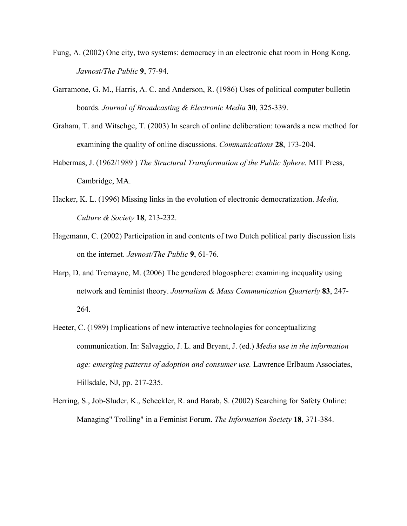- Fung, A. (2002) One city, two systems: democracy in an electronic chat room in Hong Kong. *Javnost/The Public* **9**, 77-94.
- Garramone, G. M., Harris, A. C. and Anderson, R. (1986) Uses of political computer bulletin boards. *Journal of Broadcasting & Electronic Media* **30**, 325-339.
- Graham, T. and Witschge, T. (2003) In search of online deliberation: towards a new method for examining the quality of online discussions. *Communications* **28**, 173-204.
- Habermas, J. (1962/1989 ) *The Structural Transformation of the Public Sphere.* MIT Press, Cambridge, MA.
- Hacker, K. L. (1996) Missing links in the evolution of electronic democratization. *Media, Culture & Society* **18**, 213-232.
- Hagemann, C. (2002) Participation in and contents of two Dutch political party discussion lists on the internet. *Javnost/The Public* **9**, 61-76.
- Harp, D. and Tremayne, M. (2006) The gendered blogosphere: examining inequality using network and feminist theory. *Journalism & Mass Communication Quarterly* **83**, 247- 264.
- Heeter, C. (1989) Implications of new interactive technologies for conceptualizing communication. In: Salvaggio, J. L. and Bryant, J. (ed.) *Media use in the information age: emerging patterns of adoption and consumer use.* Lawrence Erlbaum Associates, Hillsdale, NJ, pp. 217-235.
- Herring, S., Job-Sluder, K., Scheckler, R. and Barab, S. (2002) Searching for Safety Online: Managing" Trolling" in a Feminist Forum. *The Information Society* **18**, 371-384.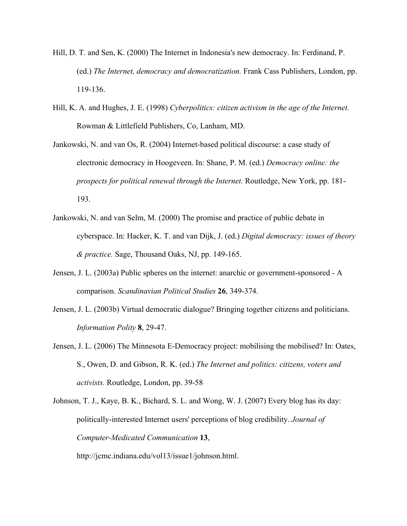- Hill, D. T. and Sen, K. (2000) The Internet in Indonesia's new democracy. In: Ferdinand, P. (ed.) *The Internet, democracy and democratization.* Frank Cass Publishers, London, pp. 119-136.
- Hill, K. A. and Hughes, J. E. (1998) *Cyberpolitics: citizen activism in the age of the Internet.*  Rowman & Littlefield Publishers, Co, Lanham, MD.
- Jankowski, N. and van Os, R. (2004) Internet-based political discourse: a case study of electronic democracy in Hoogeveen. In: Shane, P. M. (ed.) *Democracy online: the prospects for political renewal through the Internet.* Routledge, New York, pp. 181- 193.
- Jankowski, N. and van Selm, M. (2000) The promise and practice of public debate in cyberspace. In: Hacker, K. T. and van Dijk, J. (ed.) *Digital democracy: issues of theory & practice.* Sage, Thousand Oaks, NJ, pp. 149-165.
- Jensen, J. L. (2003a) Public spheres on the internet: anarchic or government-sponsored A comparison. *Scandinavian Political Studies* **26**, 349-374.
- Jensen, J. L. (2003b) Virtual democratic dialogue? Bringing together citizens and politicians. *Information Polity* **8**, 29-47.
- Jensen, J. L. (2006) The Minnesota E-Democracy project: mobilising the mobilised? In: Oates, S., Owen, D. and Gibson, R. K. (ed.) *The Internet and politics: citizens, voters and activists.* Routledge, London, pp. 39-58
- Johnson, T. J., Kaye, B. K., Bichard, S. L. and Wong, W. J. (2007) Every blog has its day: politically-interested Internet users' perceptions of blog credibility. *Journal of Computer-Medicated Communication* **13**,

http://jcmc.indiana.edu/vol13/issue1/johnson.html.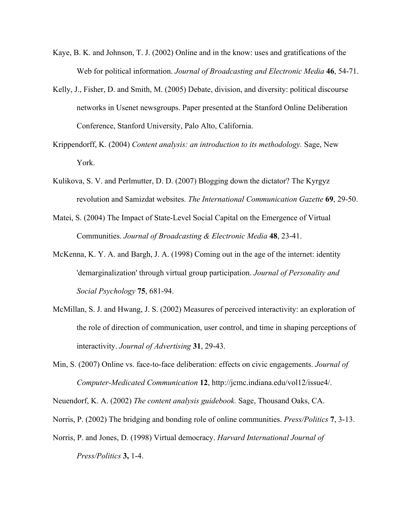- Kaye, B. K. and Johnson, T. J. (2002) Online and in the know: uses and gratifications of the Web for political information. *Journal of Broadcasting and Electronic Media* **46**, 54-71.
- Kelly, J., Fisher, D. and Smith, M. (2005) Debate, division, and diversity: political discourse networks in Usenet newsgroups. Paper presented at the Stanford Online Deliberation Conference, Stanford University, Palo Alto, California.
- Krippendorff, K. (2004) *Content analysis: an introduction to its methodology.* Sage, New York.
- Kulikova, S. V. and Perlmutter, D. D. (2007) Blogging down the dictator? The Kyrgyz revolution and Samizdat websites. *The International Communication Gazette* **69**, 29-50.
- Matei, S. (2004) The Impact of State-Level Social Capital on the Emergence of Virtual Communities. *Journal of Broadcasting & Electronic Media* **48**, 23-41.
- McKenna, K. Y. A. and Bargh, J. A. (1998) Coming out in the age of the internet: identity 'demarginalization' through virtual group participation. *Journal of Personality and Social Psychology* **75**, 681-94.
- McMillan, S. J. and Hwang, J. S. (2002) Measures of perceived interactivity: an exploration of the role of direction of communication, user control, and time in shaping perceptions of interactivity. *Journal of Advertising* **31**, 29-43.

Min, S. (2007) Online vs. face-to-face deliberation: effects on civic engagements. *Journal of Computer-Medicated Communication* **12**, http://jcmc.indiana.edu/vol12/issue4/.

Neuendorf, K. A. (2002) *The content analysis guidebook.* Sage, Thousand Oaks, CA.

Norris, P. (2002) The bridging and bonding role of online communities. *Press/Politics* **7**, 3-13.

Norris, P. and Jones, D. (1998) Virtual democracy. *Harvard International Journal of* 

*Press/Politics* **3,** 1-4.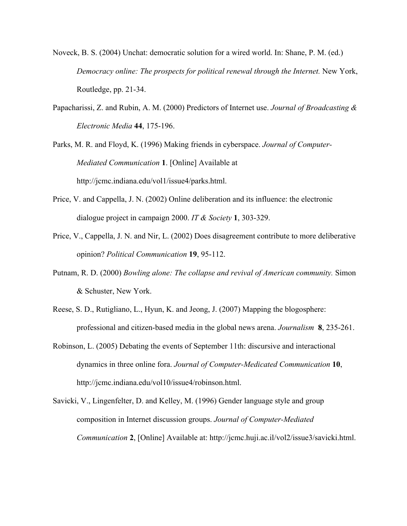Noveck, B. S. (2004) Unchat: democratic solution for a wired world. In: Shane, P. M. (ed.) *Democracy online: The prospects for political renewal through the Internet.* New York, Routledge, pp. 21-34.

Papacharissi, Z. and Rubin, A. M. (2000) Predictors of Internet use. *Journal of Broadcasting & Electronic Media* **44**, 175-196.

Parks, M. R. and Floyd, K. (1996) Making friends in cyberspace. *Journal of Computer-Mediated Communication* **1**. [Online] Available at http://jcmc.indiana.edu/vol1/issue4/parks.html.

- Price, V. and Cappella, J. N. (2002) Online deliberation and its influence: the electronic dialogue project in campaign 2000. *IT & Society* **1**, 303-329.
- Price, V., Cappella, J. N. and Nir, L. (2002) Does disagreement contribute to more deliberative opinion? *Political Communication* **19**, 95-112.
- Putnam, R. D. (2000) *Bowling alone: The collapse and revival of American community.* Simon & Schuster, New York.
- Reese, S. D., Rutigliano, L., Hyun, K. and Jeong, J. (2007) Mapping the blogosphere: professional and citizen-based media in the global news arena. *Journalism* **8**, 235-261.
- Robinson, L. (2005) Debating the events of September 11th: discursive and interactional dynamics in three online fora. *Journal of Computer-Medicated Communication* **10**, http://jcmc.indiana.edu/vol10/issue4/robinson.html.
- Savicki, V., Lingenfelter, D. and Kelley, M. (1996) Gender language style and group composition in Internet discussion groups. *Journal of Computer-Mediated Communication* **2**, [Online] Available at: http://jcmc.huji.ac.il/vol2/issue3/savicki.html.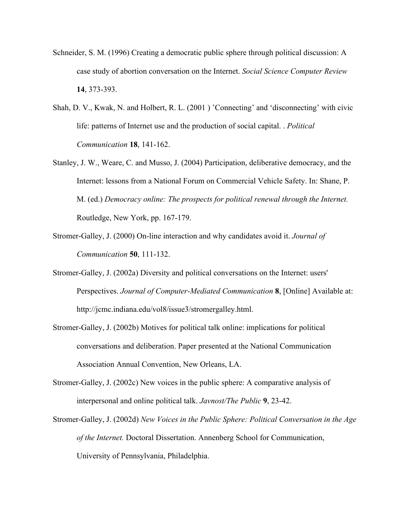- Schneider, S. M. (1996) Creating a democratic public sphere through political discussion: A case study of abortion conversation on the Internet. *Social Science Computer Review* **14**, 373-393.
- Shah, D. V., Kwak, N. and Holbert, R. L. (2001 ) 'Connecting' and 'disconnecting' with civic life: patterns of Internet use and the production of social capital. . *Political Communication* **18**, 141-162.
- Stanley, J. W., Weare, C. and Musso, J. (2004) Participation, deliberative democracy, and the Internet: lessons from a National Forum on Commercial Vehicle Safety. In: Shane, P. M. (ed.) *Democracy online: The prospects for political renewal through the Internet.*  Routledge, New York, pp. 167-179.
- Stromer-Galley, J. (2000) On-line interaction and why candidates avoid it. *Journal of Communication* **50**, 111-132.
- Stromer-Galley, J. (2002a) Diversity and political conversations on the Internet: users' Perspectives. *Journal of Computer-Mediated Communication* **8**, [Online] Available at: http://jcmc.indiana.edu/vol8/issue3/stromergalley.html.
- Stromer-Galley, J. (2002b) Motives for political talk online: implications for political conversations and deliberation. Paper presented at the National Communication Association Annual Convention, New Orleans, LA.
- Stromer-Galley, J. (2002c) New voices in the public sphere: A comparative analysis of interpersonal and online political talk. *Javnost/The Public* **9**, 23-42.
- Stromer-Galley, J. (2002d) *New Voices in the Public Sphere: Political Conversation in the Age of the Internet.* Doctoral Dissertation. Annenberg School for Communication, University of Pennsylvania, Philadelphia.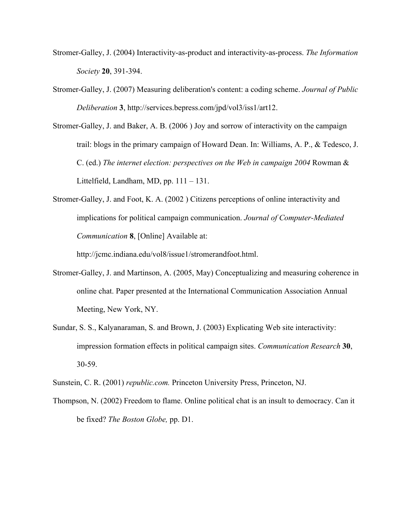- Stromer-Galley, J. (2004) Interactivity-as-product and interactivity-as-process. *The Information Society* **20**, 391-394.
- Stromer-Galley, J. (2007) Measuring deliberation's content: a coding scheme. *Journal of Public Deliberation* **3**, http://services.bepress.com/jpd/vol3/iss1/art12.

Stromer-Galley, J. and Baker, A. B. (2006 ) Joy and sorrow of interactivity on the campaign trail: blogs in the primary campaign of Howard Dean. In: Williams, A. P., & Tedesco, J. C. (ed.) *The internet election: perspectives on the Web in campaign 2004* Rowman & Littelfield, Landham, MD, pp. 111 – 131.

Stromer-Galley, J. and Foot, K. A. (2002 ) Citizens perceptions of online interactivity and implications for political campaign communication. *Journal of Computer-Mediated Communication* **8**, [Online] Available at:

http://jcmc.indiana.edu/vol8/issue1/stromerandfoot.html.

- Stromer-Galley, J. and Martinson, A. (2005, May) Conceptualizing and measuring coherence in online chat. Paper presented at the International Communication Association Annual Meeting, New York, NY.
- Sundar, S. S., Kalyanaraman, S. and Brown, J. (2003) Explicating Web site interactivity: impression formation effects in political campaign sites. *Communication Research* **30**, 30-59.

Sunstein, C. R. (2001) *republic.com.* Princeton University Press, Princeton, NJ.

Thompson, N. (2002) Freedom to flame. Online political chat is an insult to democracy. Can it be fixed? *The Boston Globe,* pp. D1.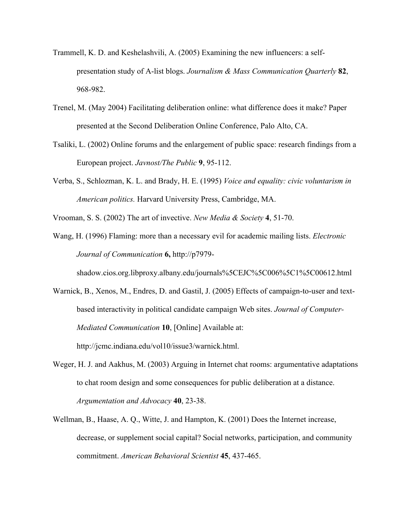- Trammell, K. D. and Keshelashvili, A. (2005) Examining the new influencers: a selfpresentation study of A-list blogs. *Journalism & Mass Communication Quarterly* **82**, 968-982.
- Trenel, M. (May 2004) Facilitating deliberation online: what difference does it make? Paper presented at the Second Deliberation Online Conference, Palo Alto, CA.
- Tsaliki, L. (2002) Online forums and the enlargement of public space: research findings from a European project. *Javnost/The Public* **9**, 95-112.
- Verba, S., Schlozman, K. L. and Brady, H. E. (1995) *Voice and equality: civic voluntarism in American politics.* Harvard University Press, Cambridge, MA.

Vrooman, S. S. (2002) The art of invective. *New Media & Society* **4**, 51-70.

Wang, H. (1996) Flaming: more than a necessary evil for academic mailing lists. *Electronic Journal of Communication* **6,** http://p7979-

shadow.cios.org.libproxy.albany.edu/journals%5CEJC%5C006%5C1%5C00612.html

- Warnick, B., Xenos, M., Endres, D. and Gastil, J. (2005) Effects of campaign-to-user and textbased interactivity in political candidate campaign Web sites. *Journal of Computer-Mediated Communication* **10**, [Online] Available at: http://jcmc.indiana.edu/vol10/issue3/warnick.html.
- Weger, H. J. and Aakhus, M. (2003) Arguing in Internet chat rooms: argumentative adaptations to chat room design and some consequences for public deliberation at a distance. *Argumentation and Advocacy* **40**, 23-38.
- Wellman, B., Haase, A. Q., Witte, J. and Hampton, K. (2001) Does the Internet increase, decrease, or supplement social capital? Social networks, participation, and community commitment. *American Behavioral Scientist* **45**, 437-465.